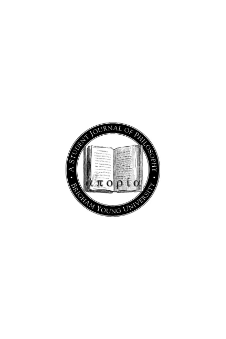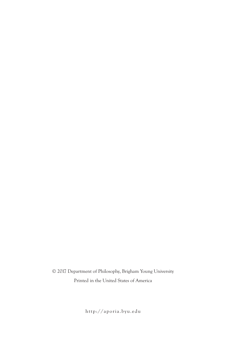© 2017 Department of Philosophy, Brigham Young University Printed in the United States of America

http://aporia.byu.edu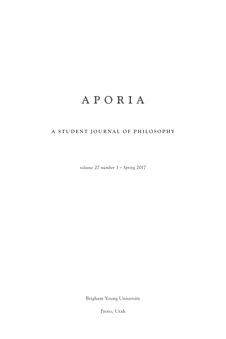## APORIA

## **A STUDENT JOURNAL OF PHILOSOPHY**

*volume 27 number 1 • Spring 2017*

Brigham Young University

Provo, Utah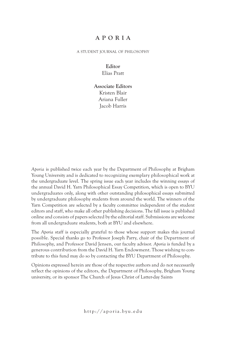## **APORIA**

a student journal of philosophy

#### **Editor** Elias Pratt

**Associate Editors** Kristen Blair Ariana Fuller Jacob Harris

*Aporia* is published twice each year by the Department of Philosophy at Brigham Young University and is dedicated to recognizing exemplary philosophical work at the undergraduate level. The spring issue each year includes the winning essays of the annual David H. Yarn Philosophical Essay Competition, which is open to BYU undergraduates only, along with other outstanding philosophical essays submitted by undergraduate philosophy students from around the world. The winners of the Yarn Competition are selected by a faculty committee independent of the student editors and staff, who make all other publishing decisions. The fall issue is published online and consists of papers selected by the editorial staff. Submissions are welcome from all undergraduate students, both at BYU and elsewhere.

The *Aporia* staff is especially grateful to those whose support makes this journal possible. Special thanks go to Professor Joseph Parry, chair of the Department of Philosophy, and Professor David Jensen, our faculty advisor. *Aporia* is funded by a generous contribution from the David H. Yarn Endowment. Those wishing to contribute to this fund may do so by contacting the BYU Department of Philosophy.

Opinions expressed herein are those of the respective authors and do not necessarily reflect the opinions of the editors, the Department of Philosophy, Brigham Young university, or its sponsor The Church of Jesus Christ of Latter-day Saints